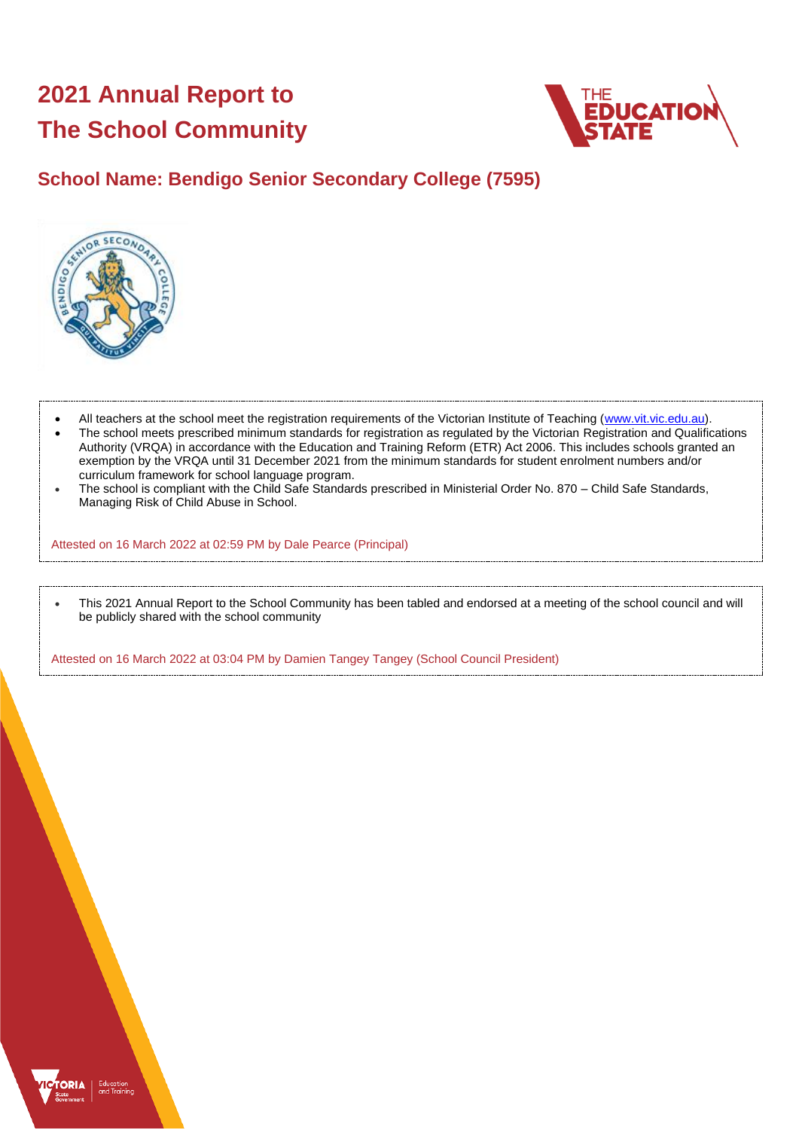# **2021 Annual Report to The School Community**



## **School Name: Bendigo Senior Secondary College (7595)**



- All teachers at the school meet the registration requirements of the Victorian Institute of Teaching [\(www.vit.vic.edu.au\)](https://www.vit.vic.edu.au/).
- The school meets prescribed minimum standards for registration as regulated by the Victorian Registration and Qualifications Authority (VRQA) in accordance with the Education and Training Reform (ETR) Act 2006. This includes schools granted an exemption by the VRQA until 31 December 2021 from the minimum standards for student enrolment numbers and/or curriculum framework for school language program.
- The school is compliant with the Child Safe Standards prescribed in Ministerial Order No. 870 Child Safe Standards, Managing Risk of Child Abuse in School.

Attested on 16 March 2022 at 02:59 PM by Dale Pearce (Principal)

• This 2021 Annual Report to the School Community has been tabled and endorsed at a meeting of the school council and will be publicly shared with the school community

Attested on 16 March 2022 at 03:04 PM by Damien Tangey Tangey (School Council President)

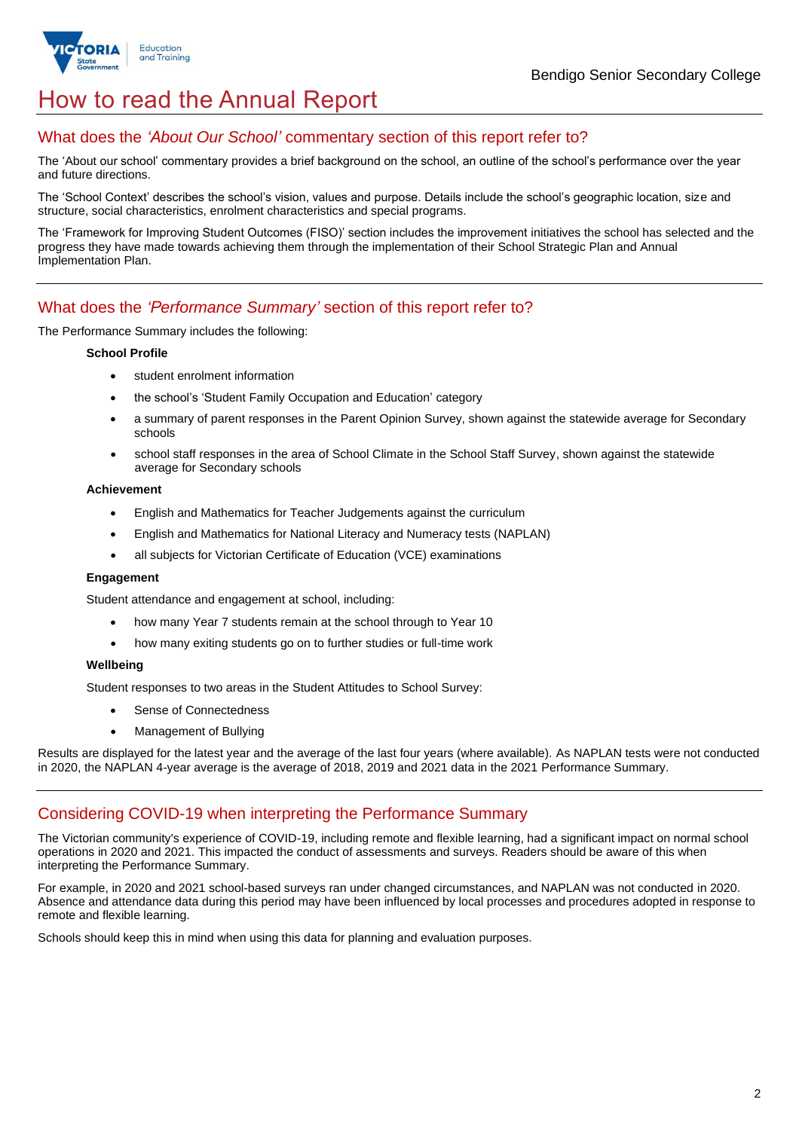

## How to read the Annual Report

## What does the *'About Our School'* commentary section of this report refer to?

The 'About our school' commentary provides a brief background on the school, an outline of the school's performance over the year and future directions.

The 'School Context' describes the school's vision, values and purpose. Details include the school's geographic location, size and structure, social characteristics, enrolment characteristics and special programs.

The 'Framework for Improving Student Outcomes (FISO)' section includes the improvement initiatives the school has selected and the progress they have made towards achieving them through the implementation of their School Strategic Plan and Annual Implementation Plan.

## What does the *'Performance Summary'* section of this report refer to?

The Performance Summary includes the following:

#### **School Profile**

- student enrolment information
- the school's 'Student Family Occupation and Education' category
- a summary of parent responses in the Parent Opinion Survey, shown against the statewide average for Secondary schools
- school staff responses in the area of School Climate in the School Staff Survey, shown against the statewide average for Secondary schools

#### **Achievement**

- English and Mathematics for Teacher Judgements against the curriculum
- English and Mathematics for National Literacy and Numeracy tests (NAPLAN)
- all subjects for Victorian Certificate of Education (VCE) examinations

#### **Engagement**

Student attendance and engagement at school, including:

- how many Year 7 students remain at the school through to Year 10
- how many exiting students go on to further studies or full-time work

#### **Wellbeing**

Student responses to two areas in the Student Attitudes to School Survey:

- Sense of Connectedness
- Management of Bullying

Results are displayed for the latest year and the average of the last four years (where available). As NAPLAN tests were not conducted in 2020, the NAPLAN 4-year average is the average of 2018, 2019 and 2021 data in the 2021 Performance Summary.

### Considering COVID-19 when interpreting the Performance Summary

The Victorian community's experience of COVID-19, including remote and flexible learning, had a significant impact on normal school operations in 2020 and 2021. This impacted the conduct of assessments and surveys. Readers should be aware of this when interpreting the Performance Summary.

For example, in 2020 and 2021 school-based surveys ran under changed circumstances, and NAPLAN was not conducted in 2020. Absence and attendance data during this period may have been influenced by local processes and procedures adopted in response to remote and flexible learning.

Schools should keep this in mind when using this data for planning and evaluation purposes.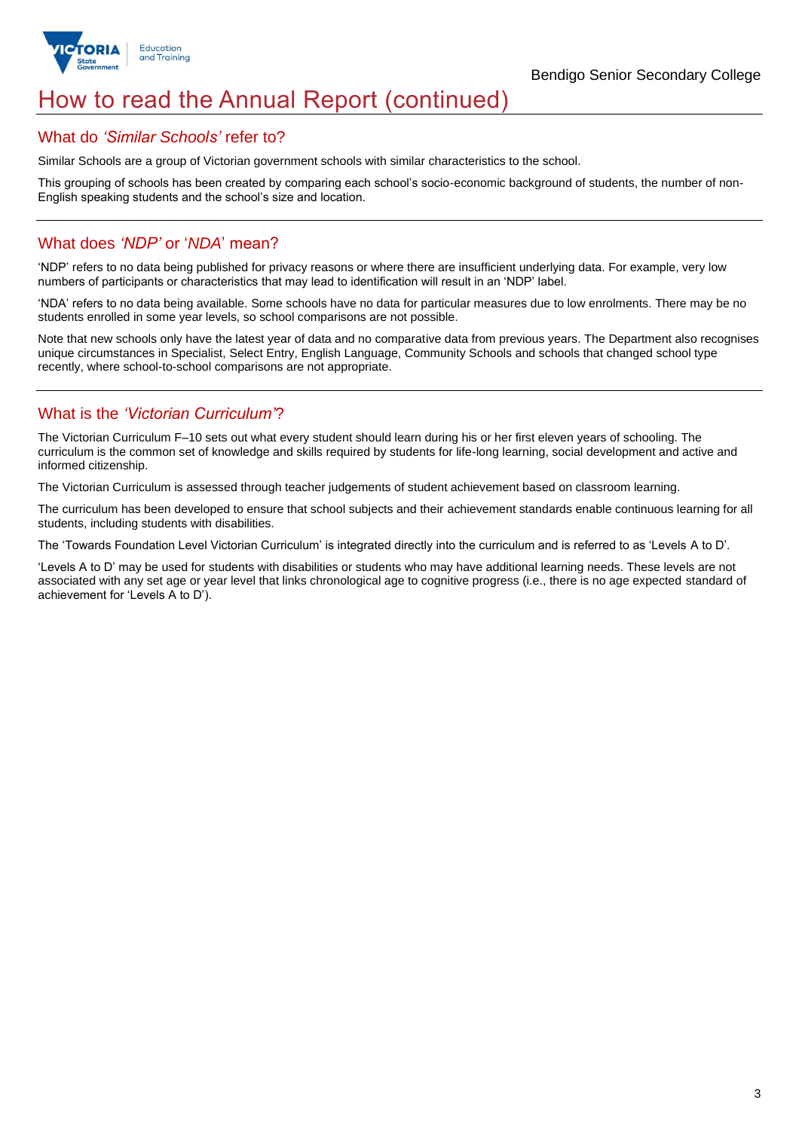

## How to read the Annual Report (continued)

#### What do *'Similar Schools'* refer to?

Similar Schools are a group of Victorian government schools with similar characteristics to the school.

This grouping of schools has been created by comparing each school's socio-economic background of students, the number of non-English speaking students and the school's size and location.

### What does *'NDP'* or '*NDA*' mean?

'NDP' refers to no data being published for privacy reasons or where there are insufficient underlying data. For example, very low numbers of participants or characteristics that may lead to identification will result in an 'NDP' label.

'NDA' refers to no data being available. Some schools have no data for particular measures due to low enrolments. There may be no students enrolled in some year levels, so school comparisons are not possible.

Note that new schools only have the latest year of data and no comparative data from previous years. The Department also recognises unique circumstances in Specialist, Select Entry, English Language, Community Schools and schools that changed school type recently, where school-to-school comparisons are not appropriate.

## What is the *'Victorian Curriculum'*?

The Victorian Curriculum F–10 sets out what every student should learn during his or her first eleven years of schooling. The curriculum is the common set of knowledge and skills required by students for life-long learning, social development and active and informed citizenship.

The Victorian Curriculum is assessed through teacher judgements of student achievement based on classroom learning.

The curriculum has been developed to ensure that school subjects and their achievement standards enable continuous learning for all students, including students with disabilities.

The 'Towards Foundation Level Victorian Curriculum' is integrated directly into the curriculum and is referred to as 'Levels A to D'.

'Levels A to D' may be used for students with disabilities or students who may have additional learning needs. These levels are not associated with any set age or year level that links chronological age to cognitive progress (i.e., there is no age expected standard of achievement for 'Levels A to D').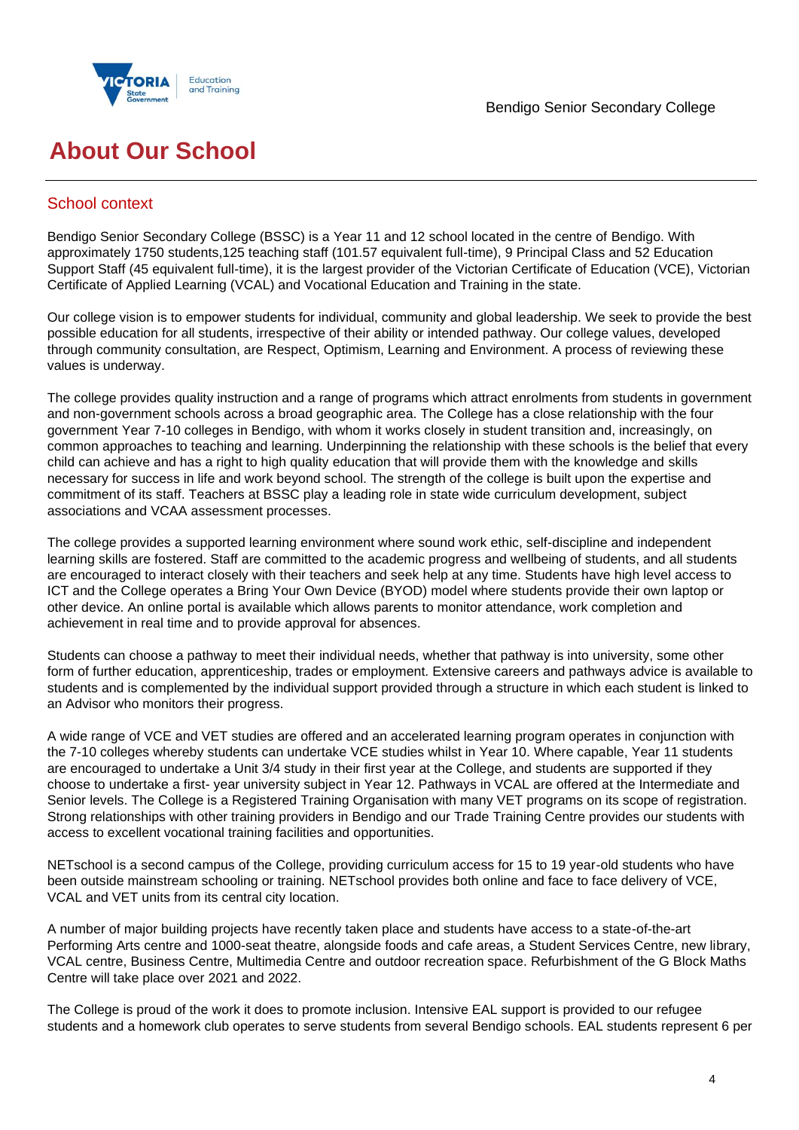

## **About Our School**

## School context

Bendigo Senior Secondary College (BSSC) is a Year 11 and 12 school located in the centre of Bendigo. With approximately 1750 students,125 teaching staff (101.57 equivalent full-time), 9 Principal Class and 52 Education Support Staff (45 equivalent full-time), it is the largest provider of the Victorian Certificate of Education (VCE), Victorian Certificate of Applied Learning (VCAL) and Vocational Education and Training in the state.

Our college vision is to empower students for individual, community and global leadership. We seek to provide the best possible education for all students, irrespective of their ability or intended pathway. Our college values, developed through community consultation, are Respect, Optimism, Learning and Environment. A process of reviewing these values is underway.

The college provides quality instruction and a range of programs which attract enrolments from students in government and non-government schools across a broad geographic area. The College has a close relationship with the four government Year 7-10 colleges in Bendigo, with whom it works closely in student transition and, increasingly, on common approaches to teaching and learning. Underpinning the relationship with these schools is the belief that every child can achieve and has a right to high quality education that will provide them with the knowledge and skills necessary for success in life and work beyond school. The strength of the college is built upon the expertise and commitment of its staff. Teachers at BSSC play a leading role in state wide curriculum development, subject associations and VCAA assessment processes.

The college provides a supported learning environment where sound work ethic, self-discipline and independent learning skills are fostered. Staff are committed to the academic progress and wellbeing of students, and all students are encouraged to interact closely with their teachers and seek help at any time. Students have high level access to ICT and the College operates a Bring Your Own Device (BYOD) model where students provide their own laptop or other device. An online portal is available which allows parents to monitor attendance, work completion and achievement in real time and to provide approval for absences.

Students can choose a pathway to meet their individual needs, whether that pathway is into university, some other form of further education, apprenticeship, trades or employment. Extensive careers and pathways advice is available to students and is complemented by the individual support provided through a structure in which each student is linked to an Advisor who monitors their progress.

A wide range of VCE and VET studies are offered and an accelerated learning program operates in conjunction with the 7-10 colleges whereby students can undertake VCE studies whilst in Year 10. Where capable, Year 11 students are encouraged to undertake a Unit 3/4 study in their first year at the College, and students are supported if they choose to undertake a first- year university subject in Year 12. Pathways in VCAL are offered at the Intermediate and Senior levels. The College is a Registered Training Organisation with many VET programs on its scope of registration. Strong relationships with other training providers in Bendigo and our Trade Training Centre provides our students with access to excellent vocational training facilities and opportunities.

NETschool is a second campus of the College, providing curriculum access for 15 to 19 year-old students who have been outside mainstream schooling or training. NETschool provides both online and face to face delivery of VCE, VCAL and VET units from its central city location.

A number of major building projects have recently taken place and students have access to a state-of-the-art Performing Arts centre and 1000-seat theatre, alongside foods and cafe areas, a Student Services Centre, new library, VCAL centre, Business Centre, Multimedia Centre and outdoor recreation space. Refurbishment of the G Block Maths Centre will take place over 2021 and 2022.

The College is proud of the work it does to promote inclusion. Intensive EAL support is provided to our refugee students and a homework club operates to serve students from several Bendigo schools. EAL students represent 6 per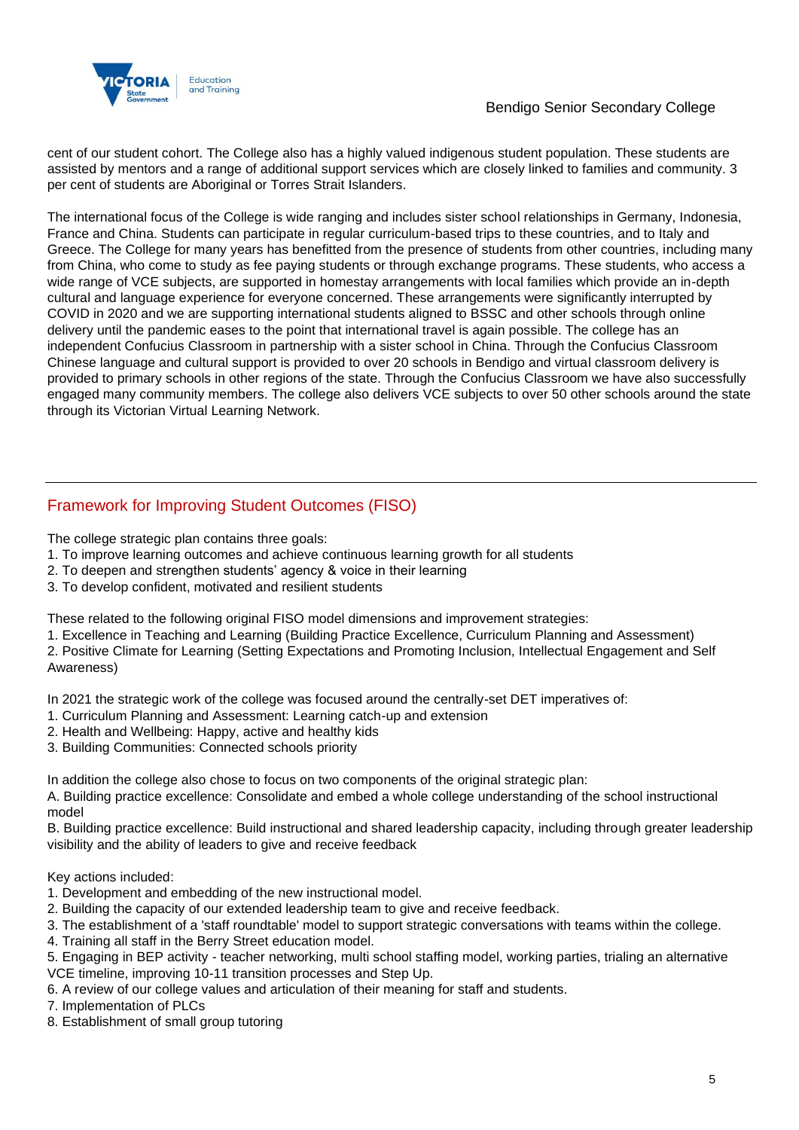

cent of our student cohort. The College also has a highly valued indigenous student population. These students are assisted by mentors and a range of additional support services which are closely linked to families and community. 3 per cent of students are Aboriginal or Torres Strait Islanders.

The international focus of the College is wide ranging and includes sister school relationships in Germany, Indonesia, France and China. Students can participate in regular curriculum-based trips to these countries, and to Italy and Greece. The College for many years has benefitted from the presence of students from other countries, including many from China, who come to study as fee paying students or through exchange programs. These students, who access a wide range of VCE subjects, are supported in homestay arrangements with local families which provide an in-depth cultural and language experience for everyone concerned. These arrangements were significantly interrupted by COVID in 2020 and we are supporting international students aligned to BSSC and other schools through online delivery until the pandemic eases to the point that international travel is again possible. The college has an independent Confucius Classroom in partnership with a sister school in China. Through the Confucius Classroom Chinese language and cultural support is provided to over 20 schools in Bendigo and virtual classroom delivery is provided to primary schools in other regions of the state. Through the Confucius Classroom we have also successfully engaged many community members. The college also delivers VCE subjects to over 50 other schools around the state through its Victorian Virtual Learning Network.

## Framework for Improving Student Outcomes (FISO)

The college strategic plan contains three goals:

- 1. To improve learning outcomes and achieve continuous learning growth for all students
- 2. To deepen and strengthen students' agency & voice in their learning
- 3. To develop confident, motivated and resilient students

These related to the following original FISO model dimensions and improvement strategies:

1. Excellence in Teaching and Learning (Building Practice Excellence, Curriculum Planning and Assessment)

2. Positive Climate for Learning (Setting Expectations and Promoting Inclusion, Intellectual Engagement and Self Awareness)

In 2021 the strategic work of the college was focused around the centrally-set DET imperatives of:

- 1. Curriculum Planning and Assessment: Learning catch-up and extension
- 2. Health and Wellbeing: Happy, active and healthy kids
- 3. Building Communities: Connected schools priority

In addition the college also chose to focus on two components of the original strategic plan:

A. Building practice excellence: Consolidate and embed a whole college understanding of the school instructional model

B. Building practice excellence: Build instructional and shared leadership capacity, including through greater leadership visibility and the ability of leaders to give and receive feedback

#### Key actions included:

- 1. Development and embedding of the new instructional model.
- 2. Building the capacity of our extended leadership team to give and receive feedback.
- 3. The establishment of a 'staff roundtable' model to support strategic conversations with teams within the college.
- 4. Training all staff in the Berry Street education model.
- 5. Engaging in BEP activity teacher networking, multi school staffing model, working parties, trialing an alternative VCE timeline, improving 10-11 transition processes and Step Up.
- 6. A review of our college values and articulation of their meaning for staff and students.
- 7. Implementation of PLCs
- 8. Establishment of small group tutoring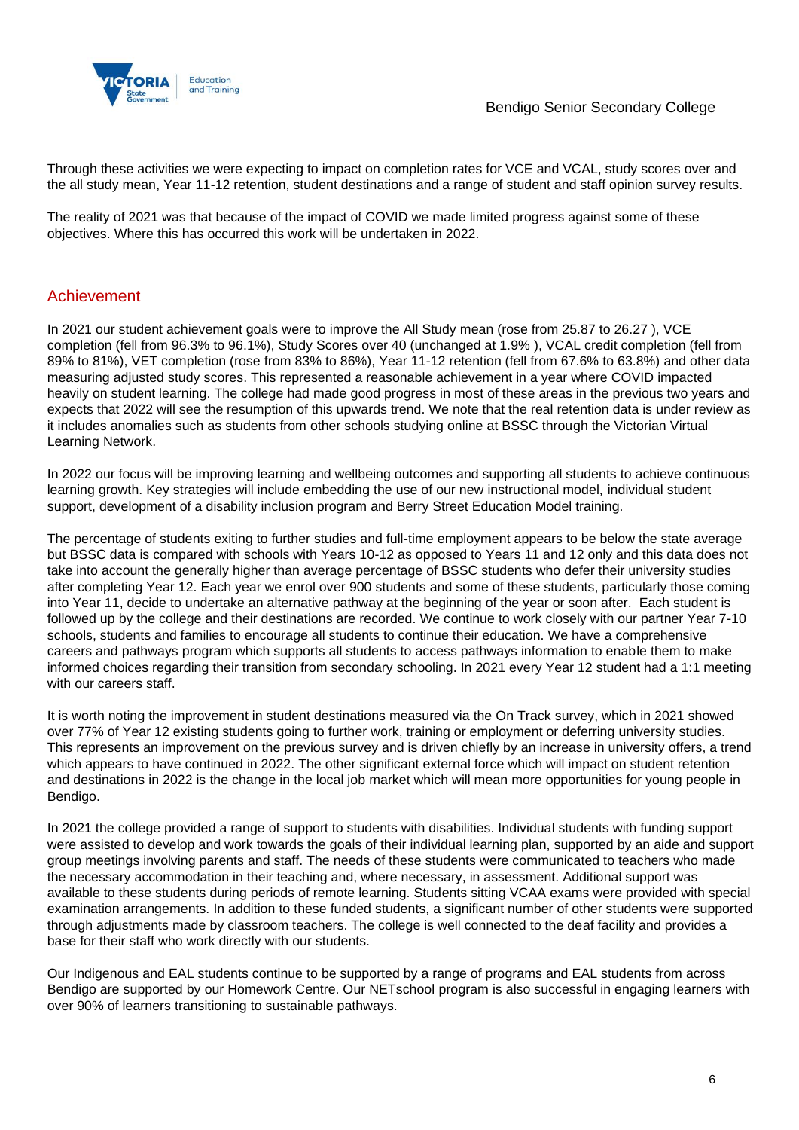

Through these activities we were expecting to impact on completion rates for VCE and VCAL, study scores over and the all study mean, Year 11-12 retention, student destinations and a range of student and staff opinion survey results.

The reality of 2021 was that because of the impact of COVID we made limited progress against some of these objectives. Where this has occurred this work will be undertaken in 2022.

### Achievement

In 2021 our student achievement goals were to improve the All Study mean (rose from 25.87 to 26.27 ), VCE completion (fell from 96.3% to 96.1%), Study Scores over 40 (unchanged at 1.9% ), VCAL credit completion (fell from 89% to 81%), VET completion (rose from 83% to 86%), Year 11-12 retention (fell from 67.6% to 63.8%) and other data measuring adjusted study scores. This represented a reasonable achievement in a year where COVID impacted heavily on student learning. The college had made good progress in most of these areas in the previous two years and expects that 2022 will see the resumption of this upwards trend. We note that the real retention data is under review as it includes anomalies such as students from other schools studying online at BSSC through the Victorian Virtual Learning Network.

In 2022 our focus will be improving learning and wellbeing outcomes and supporting all students to achieve continuous learning growth. Key strategies will include embedding the use of our new instructional model, individual student support, development of a disability inclusion program and Berry Street Education Model training.

The percentage of students exiting to further studies and full-time employment appears to be below the state average but BSSC data is compared with schools with Years 10-12 as opposed to Years 11 and 12 only and this data does not take into account the generally higher than average percentage of BSSC students who defer their university studies after completing Year 12. Each year we enrol over 900 students and some of these students, particularly those coming into Year 11, decide to undertake an alternative pathway at the beginning of the year or soon after. Each student is followed up by the college and their destinations are recorded. We continue to work closely with our partner Year 7-10 schools, students and families to encourage all students to continue their education. We have a comprehensive careers and pathways program which supports all students to access pathways information to enable them to make informed choices regarding their transition from secondary schooling. In 2021 every Year 12 student had a 1:1 meeting with our careers staff.

It is worth noting the improvement in student destinations measured via the On Track survey, which in 2021 showed over 77% of Year 12 existing students going to further work, training or employment or deferring university studies. This represents an improvement on the previous survey and is driven chiefly by an increase in university offers, a trend which appears to have continued in 2022. The other significant external force which will impact on student retention and destinations in 2022 is the change in the local job market which will mean more opportunities for young people in Bendigo.

In 2021 the college provided a range of support to students with disabilities. Individual students with funding support were assisted to develop and work towards the goals of their individual learning plan, supported by an aide and support group meetings involving parents and staff. The needs of these students were communicated to teachers who made the necessary accommodation in their teaching and, where necessary, in assessment. Additional support was available to these students during periods of remote learning. Students sitting VCAA exams were provided with special examination arrangements. In addition to these funded students, a significant number of other students were supported through adjustments made by classroom teachers. The college is well connected to the deaf facility and provides a base for their staff who work directly with our students.

Our Indigenous and EAL students continue to be supported by a range of programs and EAL students from across Bendigo are supported by our Homework Centre. Our NETschool program is also successful in engaging learners with over 90% of learners transitioning to sustainable pathways.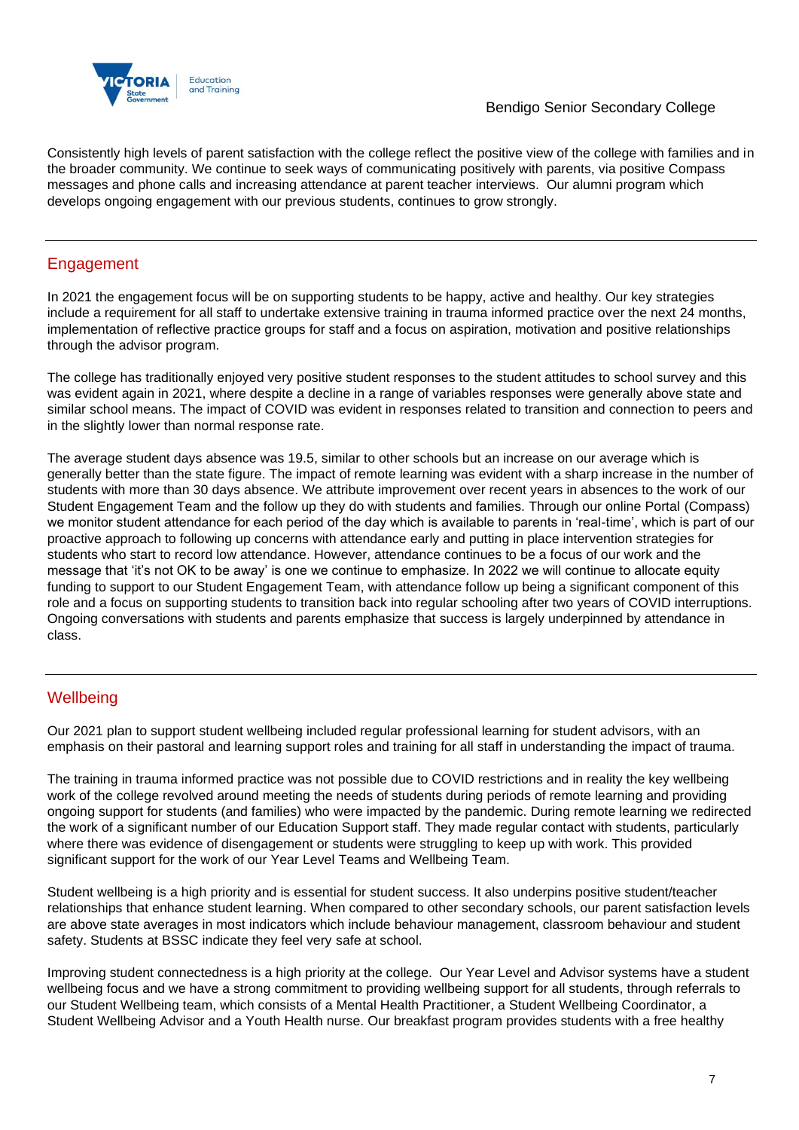

Consistently high levels of parent satisfaction with the college reflect the positive view of the college with families and in the broader community. We continue to seek ways of communicating positively with parents, via positive Compass messages and phone calls and increasing attendance at parent teacher interviews. Our alumni program which develops ongoing engagement with our previous students, continues to grow strongly.

## Engagement

In 2021 the engagement focus will be on supporting students to be happy, active and healthy. Our key strategies include a requirement for all staff to undertake extensive training in trauma informed practice over the next 24 months, implementation of reflective practice groups for staff and a focus on aspiration, motivation and positive relationships through the advisor program.

The college has traditionally enjoyed very positive student responses to the student attitudes to school survey and this was evident again in 2021, where despite a decline in a range of variables responses were generally above state and similar school means. The impact of COVID was evident in responses related to transition and connection to peers and in the slightly lower than normal response rate.

The average student days absence was 19.5, similar to other schools but an increase on our average which is generally better than the state figure. The impact of remote learning was evident with a sharp increase in the number of students with more than 30 days absence. We attribute improvement over recent years in absences to the work of our Student Engagement Team and the follow up they do with students and families. Through our online Portal (Compass) we monitor student attendance for each period of the day which is available to parents in 'real-time', which is part of our proactive approach to following up concerns with attendance early and putting in place intervention strategies for students who start to record low attendance. However, attendance continues to be a focus of our work and the message that 'it's not OK to be away' is one we continue to emphasize. In 2022 we will continue to allocate equity funding to support to our Student Engagement Team, with attendance follow up being a significant component of this role and a focus on supporting students to transition back into regular schooling after two years of COVID interruptions. Ongoing conversations with students and parents emphasize that success is largely underpinned by attendance in class.

## **Wellbeing**

Our 2021 plan to support student wellbeing included regular professional learning for student advisors, with an emphasis on their pastoral and learning support roles and training for all staff in understanding the impact of trauma.

The training in trauma informed practice was not possible due to COVID restrictions and in reality the key wellbeing work of the college revolved around meeting the needs of students during periods of remote learning and providing ongoing support for students (and families) who were impacted by the pandemic. During remote learning we redirected the work of a significant number of our Education Support staff. They made regular contact with students, particularly where there was evidence of disengagement or students were struggling to keep up with work. This provided significant support for the work of our Year Level Teams and Wellbeing Team.

Student wellbeing is a high priority and is essential for student success. It also underpins positive student/teacher relationships that enhance student learning. When compared to other secondary schools, our parent satisfaction levels are above state averages in most indicators which include behaviour management, classroom behaviour and student safety. Students at BSSC indicate they feel very safe at school.

Improving student connectedness is a high priority at the college. Our Year Level and Advisor systems have a student wellbeing focus and we have a strong commitment to providing wellbeing support for all students, through referrals to our Student Wellbeing team, which consists of a Mental Health Practitioner, a Student Wellbeing Coordinator, a Student Wellbeing Advisor and a Youth Health nurse. Our breakfast program provides students with a free healthy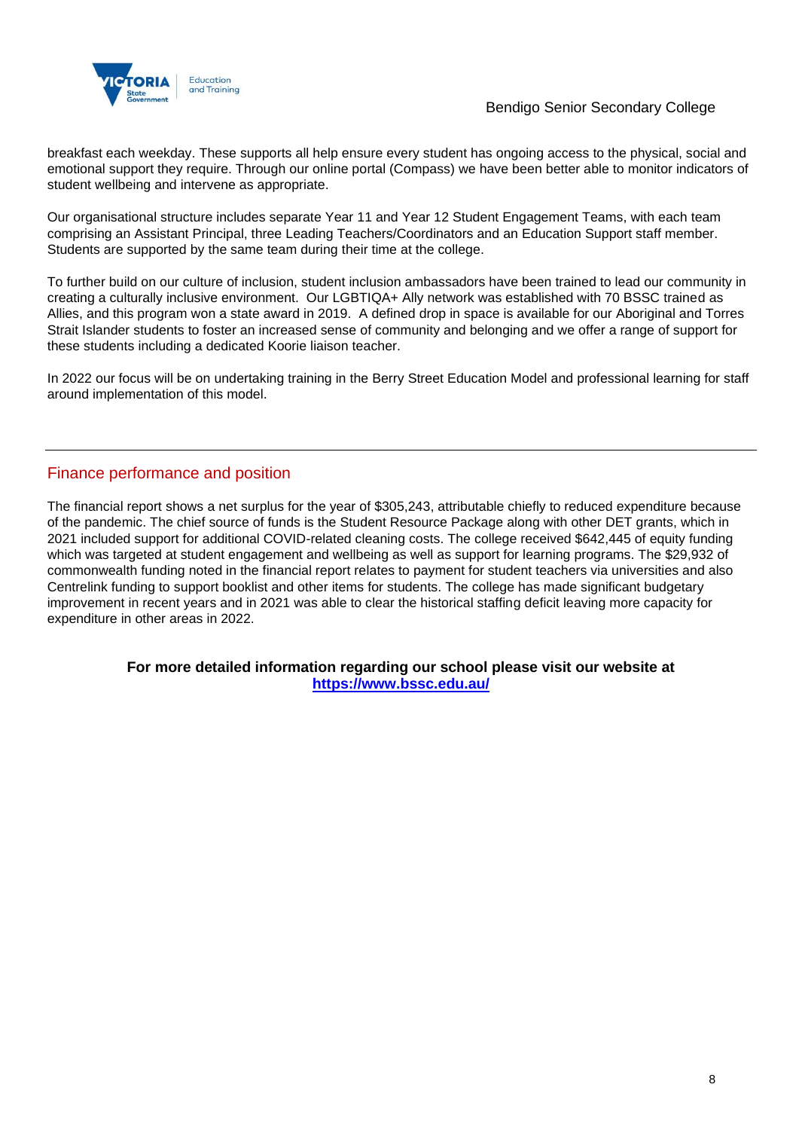

breakfast each weekday. These supports all help ensure every student has ongoing access to the physical, social and emotional support they require. Through our online portal (Compass) we have been better able to monitor indicators of student wellbeing and intervene as appropriate.

Our organisational structure includes separate Year 11 and Year 12 Student Engagement Teams, with each team comprising an Assistant Principal, three Leading Teachers/Coordinators and an Education Support staff member. Students are supported by the same team during their time at the college.

To further build on our culture of inclusion, student inclusion ambassadors have been trained to lead our community in creating a culturally inclusive environment. Our LGBTIQA+ Ally network was established with 70 BSSC trained as Allies, and this program won a state award in 2019. A defined drop in space is available for our Aboriginal and Torres Strait Islander students to foster an increased sense of community and belonging and we offer a range of support for these students including a dedicated Koorie liaison teacher.

In 2022 our focus will be on undertaking training in the Berry Street Education Model and professional learning for staff around implementation of this model.

## Finance performance and position

The financial report shows a net surplus for the year of \$305,243, attributable chiefly to reduced expenditure because of the pandemic. The chief source of funds is the Student Resource Package along with other DET grants, which in 2021 included support for additional COVID-related cleaning costs. The college received \$642,445 of equity funding which was targeted at student engagement and wellbeing as well as support for learning programs. The \$29,932 of commonwealth funding noted in the financial report relates to payment for student teachers via universities and also Centrelink funding to support booklist and other items for students. The college has made significant budgetary improvement in recent years and in 2021 was able to clear the historical staffing deficit leaving more capacity for expenditure in other areas in 2022.

#### **For more detailed information regarding our school please visit our website at <https://www.bssc.edu.au/>**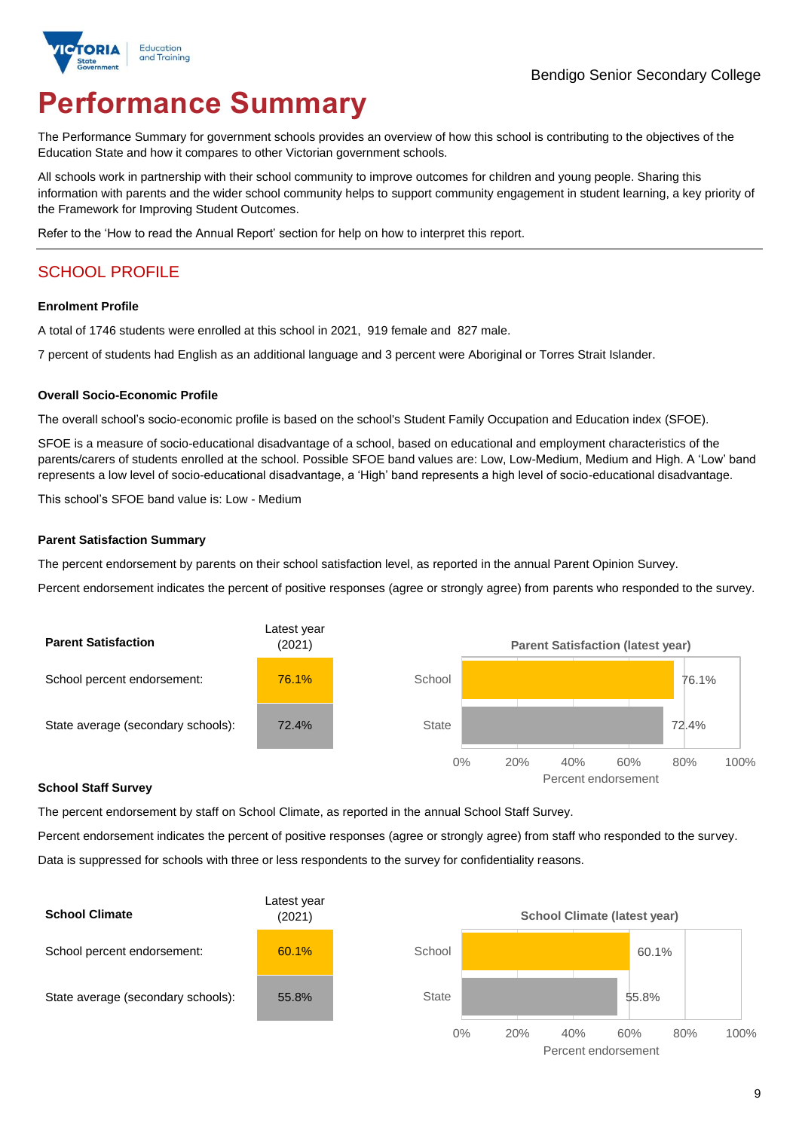

# **Performance Summary**

The Performance Summary for government schools provides an overview of how this school is contributing to the objectives of the Education State and how it compares to other Victorian government schools.

All schools work in partnership with their school community to improve outcomes for children and young people. Sharing this information with parents and the wider school community helps to support community engagement in student learning, a key priority of the Framework for Improving Student Outcomes.

Refer to the 'How to read the Annual Report' section for help on how to interpret this report.

## SCHOOL PROFILE

#### **Enrolment Profile**

A total of 1746 students were enrolled at this school in 2021, 919 female and 827 male.

7 percent of students had English as an additional language and 3 percent were Aboriginal or Torres Strait Islander.

#### **Overall Socio-Economic Profile**

The overall school's socio-economic profile is based on the school's Student Family Occupation and Education index (SFOE).

SFOE is a measure of socio-educational disadvantage of a school, based on educational and employment characteristics of the parents/carers of students enrolled at the school. Possible SFOE band values are: Low, Low-Medium, Medium and High. A 'Low' band represents a low level of socio-educational disadvantage, a 'High' band represents a high level of socio-educational disadvantage.

This school's SFOE band value is: Low - Medium

#### **Parent Satisfaction Summary**

The percent endorsement by parents on their school satisfaction level, as reported in the annual Parent Opinion Survey.

Percent endorsement indicates the percent of positive responses (agree or strongly agree) from parents who responded to the survey.



#### **School Staff Survey**

The percent endorsement by staff on School Climate, as reported in the annual School Staff Survey.

Percent endorsement indicates the percent of positive responses (agree or strongly agree) from staff who responded to the survey. Data is suppressed for schools with three or less respondents to the survey for confidentiality reasons.

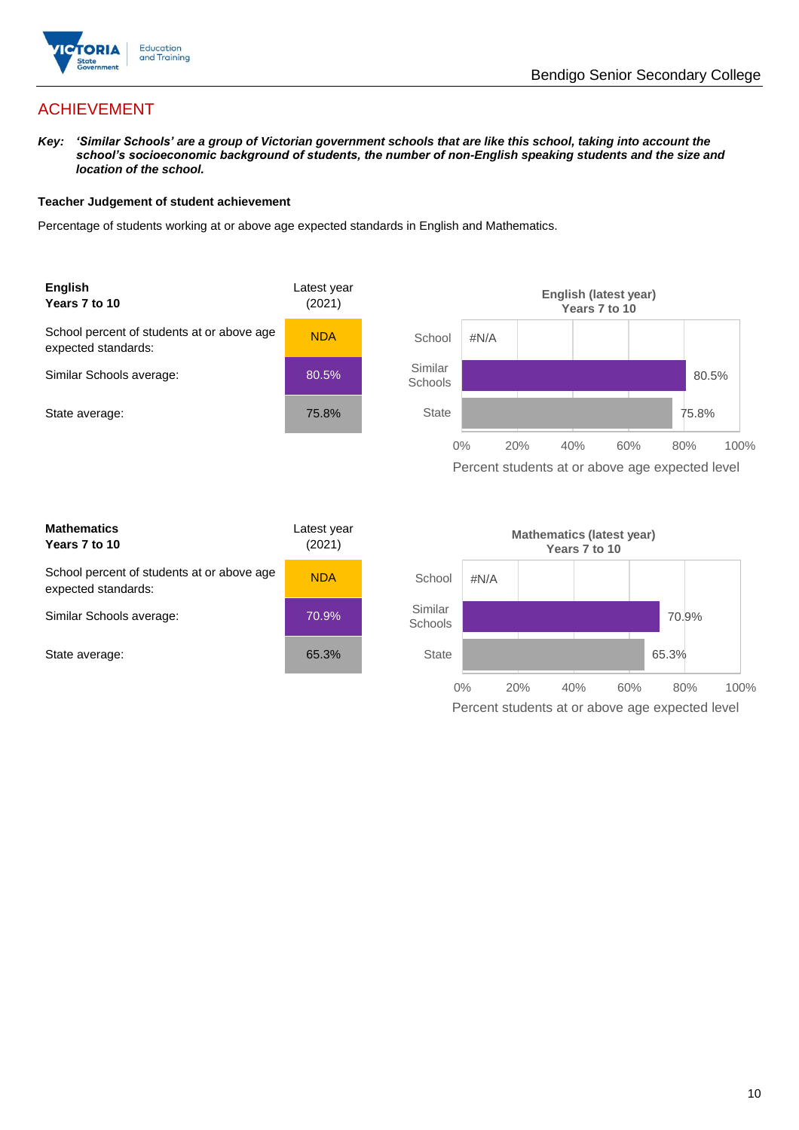

## ACHIEVEMENT

*Key: 'Similar Schools' are a group of Victorian government schools that are like this school, taking into account the school's socioeconomic background of students, the number of non-English speaking students and the size and location of the school.*

#### **Teacher Judgement of student achievement**

Percentage of students working at or above age expected standards in English and Mathematics.



expected standards: Similar Schools average: State average:

| age | <b>NDA</b> |
|-----|------------|
|     | 70.9%      |
|     | 65.3%      |

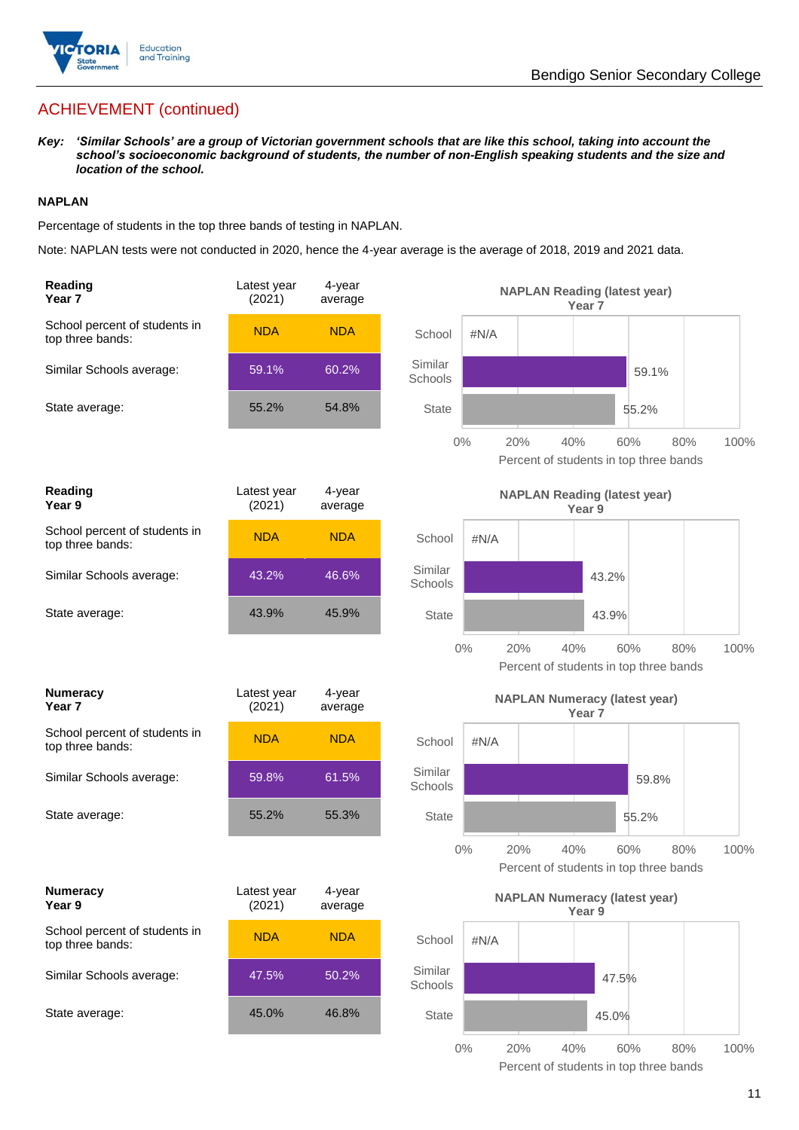

## ACHIEVEMENT (continued)

*Key: 'Similar Schools' are a group of Victorian government schools that are like this school, taking into account the school's socioeconomic background of students, the number of non-English speaking students and the size and location of the school.*

#### **NAPLAN**

Percentage of students in the top three bands of testing in NAPLAN.

Note: NAPLAN tests were not conducted in 2020, hence the 4-year average is the average of 2018, 2019 and 2021 data.

| Reading<br>Year 7                                 | Latest year<br>(2021) | 4-year<br>average |                                               |              | <b>NAPLAN Reading (latest year)</b><br>Year <sub>7</sub>  |       |     |      |
|---------------------------------------------------|-----------------------|-------------------|-----------------------------------------------|--------------|-----------------------------------------------------------|-------|-----|------|
| School percent of students in<br>top three bands: | <b>NDA</b>            | <b>NDA</b>        | School                                        | #N/A         |                                                           |       |     |      |
| Similar Schools average:                          | 59.1%                 | 60.2%             | Similar<br>Schools                            |              |                                                           | 59.1% |     |      |
| State average:                                    | 55.2%                 | 54.8%             | <b>State</b>                                  |              |                                                           | 55.2% |     |      |
|                                                   |                       |                   |                                               | $0\%$<br>20% | 40%<br>Percent of students in top three bands             | 60%   | 80% | 100% |
| Reading<br>Year 9                                 | Latest year<br>(2021) | 4-year<br>average | <b>NAPLAN Reading (latest year)</b><br>Year 9 |              |                                                           |       |     |      |
| School percent of students in<br>top three bands: | <b>NDA</b>            | <b>NDA</b>        | School                                        | #N/A         |                                                           |       |     |      |
| Similar Schools average:                          | 43.2%                 | 46.6%             | Similar<br>Schools                            |              |                                                           | 43.2% |     |      |
| State average:                                    | 43.9%                 | 45.9%             | <b>State</b>                                  |              |                                                           | 43.9% |     |      |
|                                                   |                       |                   |                                               | $0\%$<br>20% | 40%<br>Percent of students in top three bands             | 60%   | 80% | 100% |
| <b>Numeracy</b><br>Year 7                         | Latest year<br>(2021) | 4-year<br>average |                                               |              | <b>NAPLAN Numeracy (latest year)</b><br>Year <sub>7</sub> |       |     |      |
| School percent of students in<br>top three bands: | <b>NDA</b>            | <b>NDA</b>        | School                                        | $\#N/A$      |                                                           |       |     |      |
| Similar Schools average:                          | 59.8%                 | 61.5%             | Similar                                       |              |                                                           |       |     |      |
|                                                   |                       |                   | Schools                                       |              |                                                           | 59.8% |     |      |
| State average:                                    | 55.2%                 | 55.3%             | <b>State</b>                                  |              |                                                           | 55.2% |     |      |
|                                                   |                       |                   |                                               | 0%<br>20%    | 40%<br>Percent of students in top three bands             | 60%   | 80% | 100% |
| <b>Numeracy</b><br>Year 9                         | Latest year<br>(2021) | 4-year<br>average |                                               |              | <b>NAPLAN Numeracy (latest year)</b><br>Year 9            |       |     |      |
| School percent of students in<br>top three bands: | <b>NDA</b>            | <b>NDA</b>        | School                                        | #N/A         |                                                           |       |     |      |
| Similar Schools average:                          | 47.5%                 | 50.2%             | Similar<br>Schools                            |              |                                                           | 47.5% |     |      |
| State average:                                    | 45.0%                 | 46.8%             | State                                         |              |                                                           | 45.0% |     |      |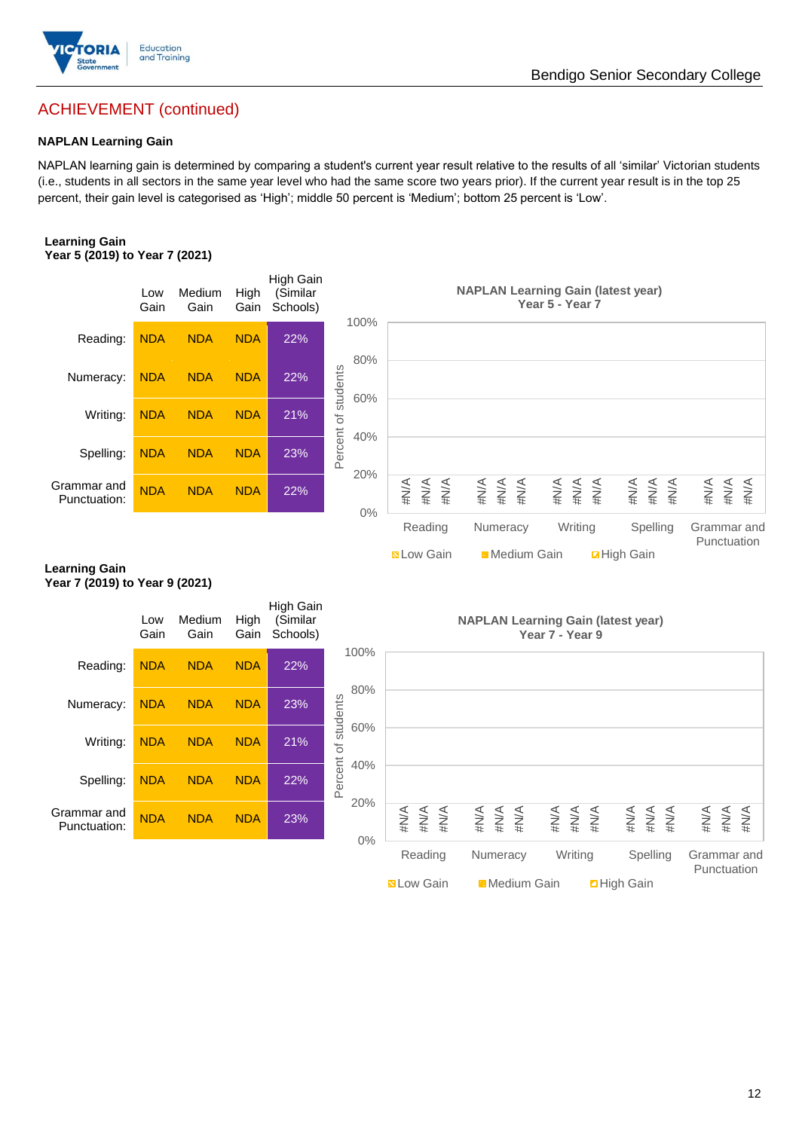

# ACHIEVEMENT (continued)

#### **NAPLAN Learning Gain**

NAPLAN learning gain is determined by comparing a student's current year result relative to the results of all 'similar' Victorian students (i.e., students in all sectors in the same year level who had the same score two years prior). If the current year result is in the top 25 percent, their gain level is categorised as 'High'; middle 50 percent is 'Medium'; bottom 25 percent is 'Low'.

#### **Learning Gain Year 5 (2019) to Year 7 (2021)**



**N** Low Gain **H** Medium Gain **High Gain** 

#### **Learning Gain Year 7 (2019) to Year 9 (2021)**

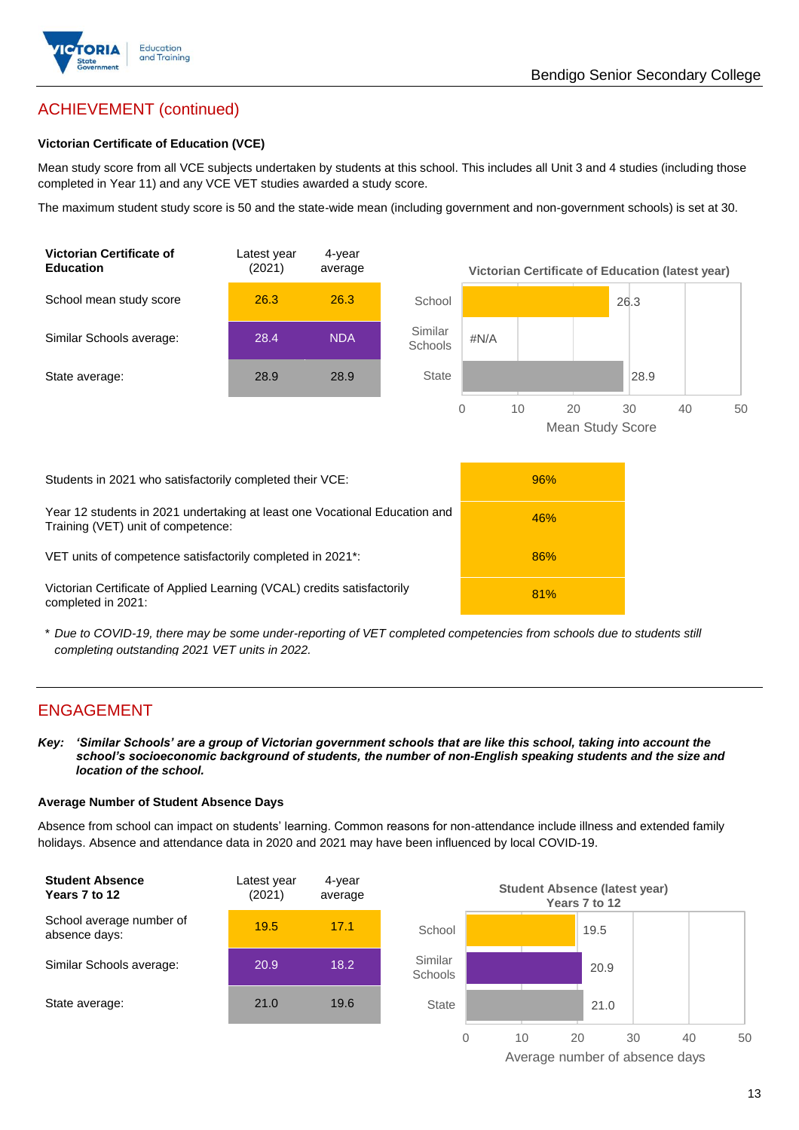

## ACHIEVEMENT (continued)

#### **Victorian Certificate of Education (VCE)**

Mean study score from all VCE subjects undertaken by students at this school. This includes all Unit 3 and 4 studies (including those completed in Year 11) and any VCE VET studies awarded a study score.

The maximum student study score is 50 and the state-wide mean (including government and non-government schools) is set at 30.



\* *Due to COVID-19, there may be some under-reporting of VET completed competencies from schools due to students still completing outstanding 2021 VET units in 2022.*

## ENGAGEMENT

*Key: 'Similar Schools' are a group of Victorian government schools that are like this school, taking into account the school's socioeconomic background of students, the number of non-English speaking students and the size and location of the school.*

#### **Average Number of Student Absence Days**

Absence from school can impact on students' learning. Common reasons for non-attendance include illness and extended family holidays. Absence and attendance data in 2020 and 2021 may have been influenced by local COVID-19.



Average number of absence days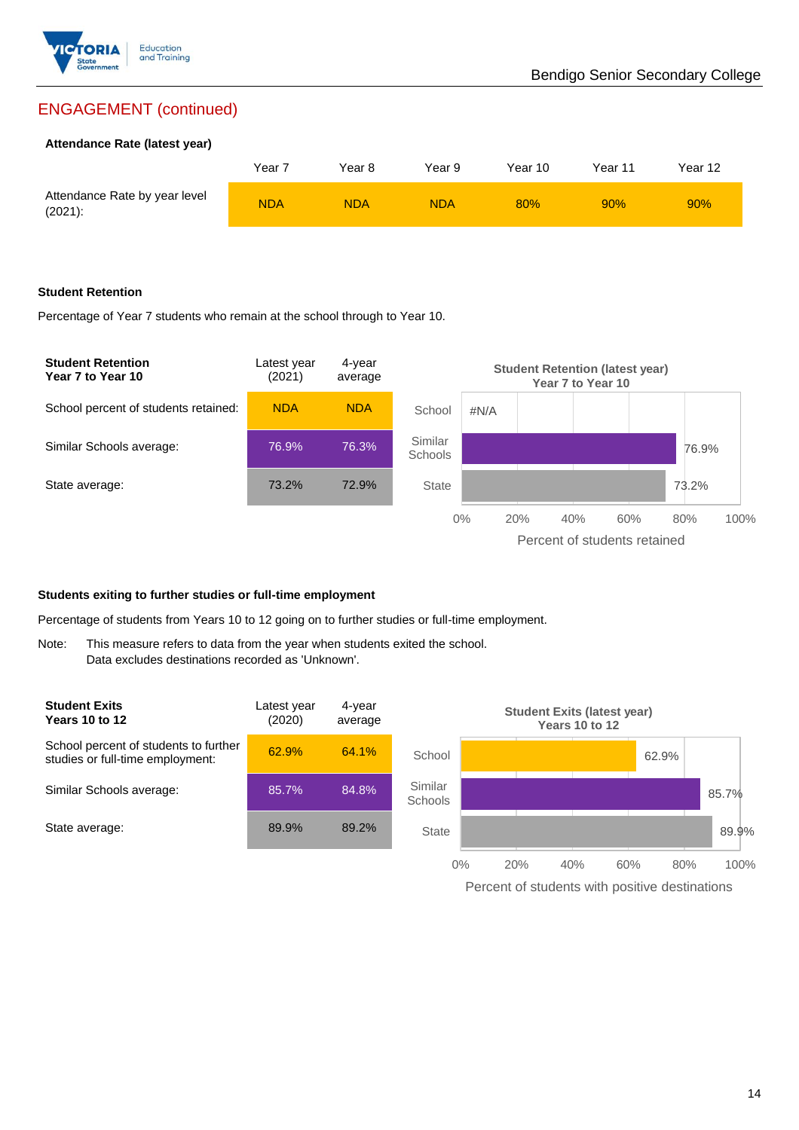

## ENGAGEMENT (continued)

#### **Attendance Rate (latest year)**

|                                             | Year 7     | Year 8     | Year 9     | Year 10 | Year 11 | Year 12 |
|---------------------------------------------|------------|------------|------------|---------|---------|---------|
| Attendance Rate by year level<br>$(2021)$ : | <b>NDA</b> | <b>NDA</b> | <b>NDA</b> | 80%     | 90%     | 90%     |

#### **Student Retention**

Percentage of Year 7 students who remain at the school through to Year 10.



#### **Students exiting to further studies or full-time employment**

Percentage of students from Years 10 to 12 going on to further studies or full-time employment.

Note: This measure refers to data from the year when students exited the school. Data excludes destinations recorded as 'Unknown'.



Percent of students with positive destinations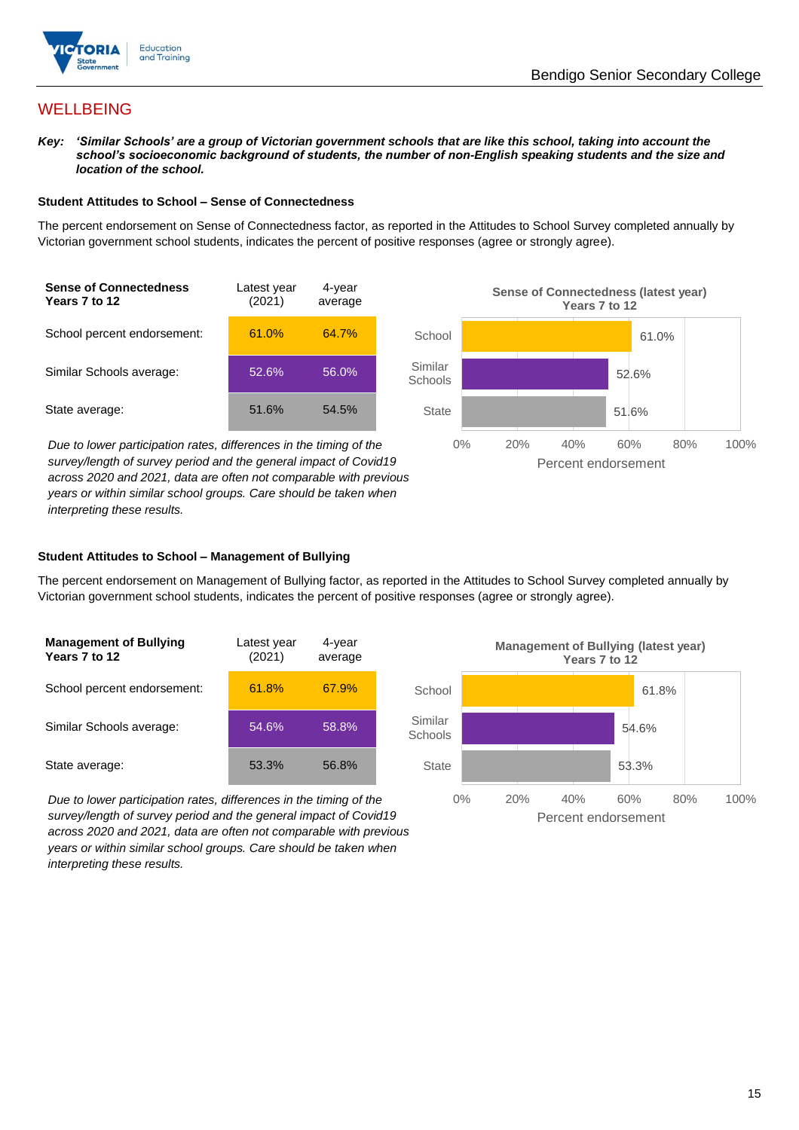

## **WELLBEING**

*Key: 'Similar Schools' are a group of Victorian government schools that are like this school, taking into account the school's socioeconomic background of students, the number of non-English speaking students and the size and location of the school.*

#### **Student Attitudes to School – Sense of Connectedness**

The percent endorsement on Sense of Connectedness factor, as reported in the Attitudes to School Survey completed annually by Victorian government school students, indicates the percent of positive responses (agree or strongly agree).



*Due to lower participation rates, differences in the timing of the survey/length of survey period and the general impact of Covid19 across 2020 and 2021, data are often not comparable with previous years or within similar school groups. Care should be taken when interpreting these results.*



#### **Student Attitudes to School – Management of Bullying**

The percent endorsement on Management of Bullying factor, as reported in the Attitudes to School Survey completed annually by Victorian government school students, indicates the percent of positive responses (agree or strongly agree).

| <b>Management of Bullying</b><br>Years 7 to 12 | Latest year<br>(2021) | 4-year<br>average |  |
|------------------------------------------------|-----------------------|-------------------|--|
| School percent endorsement:                    | 61.8%                 | 67.9%             |  |
| Similar Schools average:                       | 54.6%                 | 58.8%             |  |
| State average:                                 | 53.3%                 | 56.8%             |  |

*Due to lower participation rates, differences in the timing of the survey/length of survey period and the general impact of Covid19 across 2020 and 2021, data are often not comparable with previous years or within similar school groups. Care should be taken when interpreting these results.*

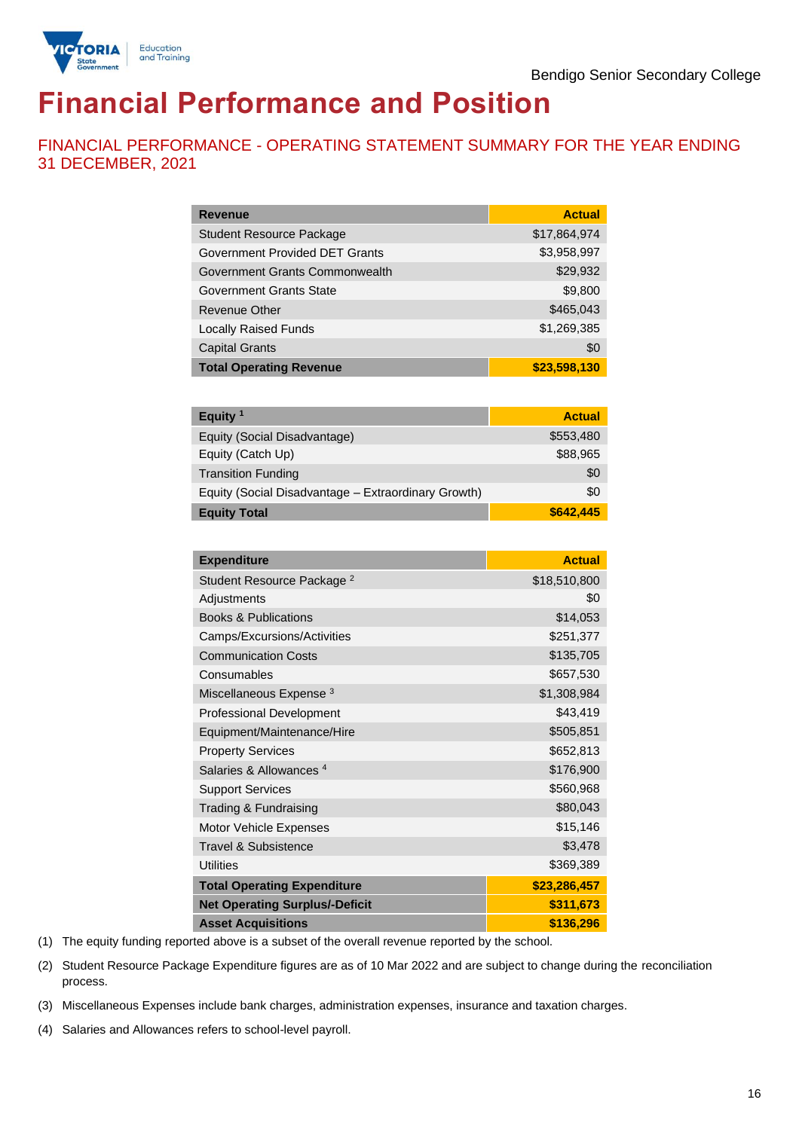

## **Financial Performance and Position**

FINANCIAL PERFORMANCE - OPERATING STATEMENT SUMMARY FOR THE YEAR ENDING 31 DECEMBER, 2021

| <b>Revenue</b>                  | <b>Actual</b> |
|---------------------------------|---------------|
| <b>Student Resource Package</b> | \$17,864,974  |
| Government Provided DET Grants  | \$3,958,997   |
| Government Grants Commonwealth  | \$29,932      |
| Government Grants State         | \$9,800       |
| Revenue Other                   | \$465,043     |
| <b>Locally Raised Funds</b>     | \$1,269,385   |
| <b>Capital Grants</b>           | \$0           |
| <b>Total Operating Revenue</b>  | \$23,598,130  |

| Equity <sup>1</sup>                                 | <b>Actual</b> |
|-----------------------------------------------------|---------------|
| Equity (Social Disadvantage)                        | \$553,480     |
| Equity (Catch Up)                                   | \$88,965      |
| <b>Transition Funding</b>                           | \$0           |
| Equity (Social Disadvantage - Extraordinary Growth) | \$0           |
| <b>Equity Total</b>                                 | \$642,445     |

| <b>Expenditure</b>                    | <b>Actual</b> |
|---------------------------------------|---------------|
| Student Resource Package <sup>2</sup> | \$18,510,800  |
| Adjustments                           | \$0           |
| <b>Books &amp; Publications</b>       | \$14,053      |
| Camps/Excursions/Activities           | \$251,377     |
| <b>Communication Costs</b>            | \$135,705     |
| Consumables                           | \$657,530     |
| Miscellaneous Expense <sup>3</sup>    | \$1,308,984   |
| <b>Professional Development</b>       | \$43,419      |
| Equipment/Maintenance/Hire            | \$505,851     |
| <b>Property Services</b>              | \$652,813     |
| Salaries & Allowances <sup>4</sup>    | \$176,900     |
| <b>Support Services</b>               | \$560,968     |
| Trading & Fundraising                 | \$80,043      |
| Motor Vehicle Expenses                | \$15,146      |
| Travel & Subsistence                  | \$3,478       |
| <b>Utilities</b>                      | \$369,389     |
| <b>Total Operating Expenditure</b>    | \$23,286,457  |
| <b>Net Operating Surplus/-Deficit</b> | \$311,673     |
| <b>Asset Acquisitions</b>             | \$136,296     |

(1) The equity funding reported above is a subset of the overall revenue reported by the school.

(2) Student Resource Package Expenditure figures are as of 10 Mar 2022 and are subject to change during the reconciliation process.

(3) Miscellaneous Expenses include bank charges, administration expenses, insurance and taxation charges.

(4) Salaries and Allowances refers to school-level payroll.